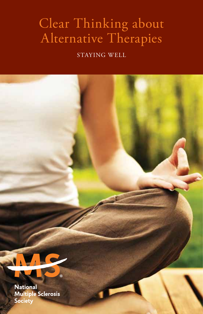## Clear Thinking about Alternative Therapies

staying well

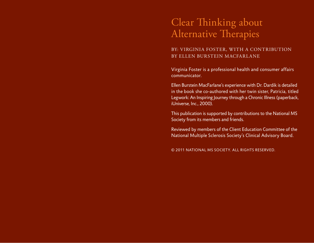## Clear Thinking about Alternative Therapies

#### by: Virginia Foster, with a contribution by Ellen Burstein MacFarlane

Virginia Foster is a professional health and consumer affairs communicator.

Ellen Burstein MacFarlane's experience with Dr. Dardik is detailed in the book she co-authored with her twin sister, Patricia, titled Legwork: An Inspiring Journey through a Chronic Illness (paperback, iUniverse, Inc., 2000).

This publication is supported by contributions to the National MS Society from its members and friends.

Reviewed by members of the Client Education Committee of the National Multiple Sclerosis Society's Clinical Advisory Board.

© 2011 National MS Society. All rights reserved.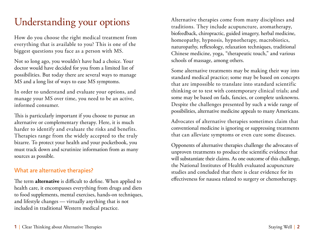# Understanding your options

How do you choose the right medical treatment from everything that is available to you? This is one of the biggest questions you face as a person with MS.

Not so long ago, you wouldn't have had a choice. Your doctor would have decided for you from a limited list of possibilities. But today there are several ways to manage MS and a long list of ways to ease MS symptoms.

In order to understand and evaluate your options, and manage your MS over time, you need to be an active, informed consumer.

This is particularly important if you choose to pursue an alternative or complementary therapy. Here, it is much harder to identify and evaluate the risks and benefits. Therapies range from the widely accepted to the truly bizarre. To protect your health and your pocketbook, you must track down and scrutinize information from as many sources as possible.

### What are alternative therapies?

The term **alternative** is difficult to define. When applied to health care, it encompasses everything from drugs and diets to food supplements, mental exercises, hands-on techniques, and lifestyle changes — virtually anything that is not included in traditional Western medical practice.

Alternative therapies come from many disciplines and traditions. They include acupuncture, aromatherapy, biofeedback, chiropractic, guided imagery, herbal medicine, homeopathy, hypnosis, hypnotherapy, macrobiotics, naturopathy, reflexology, relaxation techniques, traditional Chinese medicine, yoga, "therapeutic touch," and various schools of massage, among others.

Some alternative treatments may be making their way into standard medical practice; some may be based on concepts that are impossible to translate into standard scientific thinking or to test with contemporary clinical trials; and some may be based on fads, fancies, or complete unknowns. Despite the challenges presented by such a wide range of possibilities, alternative medicine appeals to many Americans.

Advocates of alternative therapies sometimes claim that conventional medicine is ignoring or suppressing treatments that can alleviate symptoms or even cure some diseases.

Opponents of alternative therapies challenge the advocates of unproven treatments to produce the scientific evidence that will substantiate their claims. As one outcome of this challenge, the National Institutes of Health evaluated acupuncture studies and concluded that there is clear evidence for its effectiveness for nausea related to surgery or chemotherapy.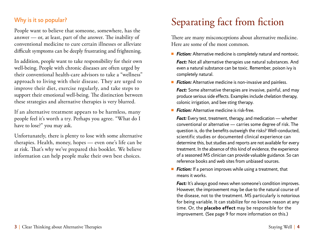## Why is it so popular?

People want to believe that someone, somewhere, has the answer — or, at least, part of the answer. The inability of conventional medicine to cure certain illnesses or alleviate difficult symptoms can be deeply frustrating and frightening.

In addition, people want to take responsibility for their own well-being. People with chronic diseases are often urged by their conventional health-care advisors to take a "wellness" approach to living with their disease. They are urged to improve their diet, exercise regularly, and take steps to support their emotional well-being. The distinction between these strategies and alternative therapies is very blurred.

If an alternative treatment appears to be harmless, many people feel it's worth a try. Perhaps you agree. "What do I have to lose?" you may ask.

Unfortunately, there is plenty to lose with some alternative therapies. Health, money, hopes — even one's life can be at risk. That's why we've prepared this booklet. We believe information can help people make their own best choices.

# Separating fact from fiction

There are many misconceptions about alternative medicine. Here are some of the most common.

- *Fiction:* Alternative medicine is completely natural and nontoxic. *Fact:* Not all alternative therapies use natural substances. And even a natural substance can be toxic. Remember, poison ivy is completely natural.
- **Fiction:** Alternative medicine is non-invasive and painless.

*Fact:* Some alternative therapies are invasive, painful, and may produce serious side effects. Examples include chelation therapy, colonic irrigation, and bee sting therapy.

■ *Fiction:* Alternative medicine is risk-free.

 *Fact:* Every test, treatment, therapy, and medication — whether conventional or alternative — carries some degree of risk. The question is, do the benefits outweigh the risks? Well-conducted, scientific studies or documented clinical experience can determine this, but studies and reports are not available for every treatment. In the absence of this kind of evidence, the experience of a seasoned MS clinician can provide valuable guidance. So can reference books and web sites from unbiased sources.

■ **Fiction:** If a person improves while using a treatment, that means it works.

*Fact:* It's always good news when someone's condition improves. However, the improvement may be due to the natural course of the disease, not to the treatment. MS particularly is notorious for being variable. It can stabilize for no known reason at any time. Or, the **placebo effect** may be responsible for the improvement. (See page 9 for more information on this.)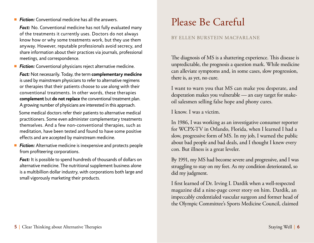#### ■ **Fiction:** Conventional medicine has all the answers.

*Fact:* No. Conventional medicine has not fully evaluated many of the treatments it currently uses. Doctors do not always know how or why some treatments work, but they use them anyway. However, reputable professionals avoid secrecy, and share information about their practices via journals, professional meetings, and correspondence.

■ **Fiction:** Conventional physicians reject alternative medicine.

 *Fact:* Not necessarily. Today, the term **complementary medicine** is used by mainstream physicians to refer to alternative regimens or therapies that their patients choose to use along with their conventional treatments. In other words, these therapies **complement** but **do not replace** the conventional treatment plan. A growing number of physicians are interested in this approach.

Some medical doctors refer their patients to alternative medical practitioners. Some even administer complementary treatments themselves. And a few non-conventional therapies, such as meditation, have been tested and found to have some positive effects and are accepted by mainstream medicine.

■ **Fiction:** Alternative medicine is inexpensive and protects people from profiteering corporations.

*Fact:* It is possible to spend hundreds of thousands of dollars on alternative medicine. The nutritional supplement business alone is a multibillion dollar industry, with corporations both large and small vigorously marketing their products.

# Please Be Careful

#### by Ellen Burstein MacFarlane

The diagnosis of MS is a shattering experience. This disease is unpredictable, the prognosis a question mark. While medicine can alleviate symptoms and, in some cases, slow progression, there is, as yet, no cure.

I want to warn you that MS can make you desperate, and desperation makes you vulnerable — an easy target for snakeoil salesmen selling false hope and phony cures.

I know. I was a victim.

In 1986, I was working as an investigative consumer reporter for WCPX-TV in Orlando, Florida, when I learned I had a slow, progressive form of MS. In my job, I warned the public about bad people and bad deals, and I thought I knew every con. But illness is a great leveler.

By 1991, my MS had become severe and progressive, and I was struggling to stay on my feet. As my condition deteriorated, so did my judgment.

I first learned of Dr. Irving I. Dardik when a well-respected magazine did a nine-page cover story on him. Dardik, an impeccably credentialed vascular surgeon and former head of the Olympic Committee's Sports Medicine Council, claimed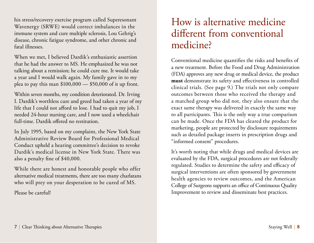his stress/recovery exercise program called Superesonant Wavenergy (SRWE) would correct imbalances in the immune system and cure multiple sclerosis, Lou Gehrig's disease, chronic fatigue syndrome, and other chronic and fatal illnesses.

When we met, I believed Dardik's enthusiastic assertion that he had the answer to MS. He emphasized he was not talking about a remission; he could cure me. It would take a year and I would walk again. My family gave in to my plea to pay this man  $$100,000 - $50,000$  of it up front.

Within seven months, my condition deteriorated. Dr. Irving I. Dardik's worthless cure and greed had taken a year of my life that I could not afford to lose. I had to quit my job, I needed 24-hour nursing care, and I now used a wheelchair full-time. Dardik offered no restitution.

In July 1995, based on my complaint, the New York State Administrative Review Board for Professional Medical Conduct upheld a hearing committee's decision to revoke Dardik's medical license in New York State. There was also a penalty fine of \$40,000.

While there are honest and honorable people who offer alternative medical treatments, there are too many charlatans who will prey on your desperation to be cured of MS.

Please be careful!

## How is alternative medicine different from conventional medicine?

Conventional medicine quantifies the risks and benefits of a new treatment. Before the Food and Drug Administration (FDA) approves any new drug or medical device, the product **must** demonstrate its safety and effectiveness in controlled clinical trials. (See page 9.) The trials not only compare outcomes between those who received the therapy and a matched group who did not, they also ensure that the exact same therapy was delivered in exactly the same way to all participants. This is the only way a true comparison can be made. Once the FDA has cleared the product for marketing, people are protected by disclosure requirements such as detailed package inserts in prescription drugs and "informed consent" procedures.

It's worth noting that while drugs and medical devices are evaluated by the FDA, surgical procedures are not federally regulated. Studies to determine the safety and efficacy of surgical interventions are often sponsored by government health agencies to review outcomes, and the American College of Surgeons supports an office of Continuous Quality Improvement to review and disseminate best practices.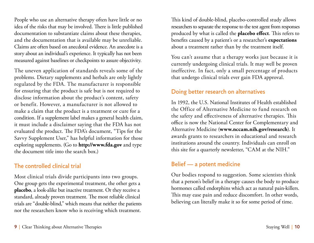People who use an alternative therapy often have little or no idea of the risks that may be involved. There is little published documentation to substantiate claims about these therapies, and the documentation that is available may be unreliable. Claims are often based on anecdotal evidence. An anecdote is a story about an individual's experience. It typically has not been measured against baselines or checkpoints to assure objectivity.

The uneven application of standards reveals some of the problems. Dietary supplements and herbals are only lightly regulated by the FDA. The manufacturer is responsible for ensuring that the product is safe but is not required to disclose information about the product's content, safety or benefit. However, a manufacturer is not allowed to make a claim that the product is a treatment or cure for a condition. If a supplement label makes a general health claim, it must include a disclaimer saying that the FDA has not evaluated the product. The FDA's document, "Tips for the Savvy Supplement User," has helpful information for those exploring supplements. (Go to **http://www.fda.gov** and type the document title into the search box.)

### The controlled clinical trial

Most clinical trials divide participants into two groups. One group gets the experimental treatment, the other gets a **placebo**, a look-alike but inactive treatment. Or they receive a standard, already proven treatment. The most reliable clinical trials are "double-blind," which means that neither the patients nor the researchers know who is receiving which treatment.

This kind of double-blind, placebo-controlled study allows researchers to separate the response to the test agent from responses produced by what is called the **placebo effect**. This refers to benefits caused by a patient's or a researcher's **expectations** about a treatment rather than by the treatment itself.

You can't assume that a therapy works just because it is currently undergoing clinical trials. It may well be proven ineffective. In fact, only a small percentage of products that undergo clinical trials ever gain FDA approval.

### Doing better research on alternatives

In 1992, the U.S. National Institutes of Health established the Office of Alternative Medicine to fund research on the safety and effectiveness of alternative therapies. This office is now the National Center for Complementary and Alternative Medicine (**www.nccam.nih.gov/research**). It awards grants to researchers in educational and research institutions around the country. Individuals can enroll on this site for a quarterly newsletter, "CAM at the NIH."

### Belief — a potent medicine

Our bodies respond to suggestion. Some scientists think that a person's belief in a therapy causes the body to produce hormones called endorphins which act as natural pain-killers. This may ease pain and reduce discomfort. In other words, believing can literally make it so for some period of time.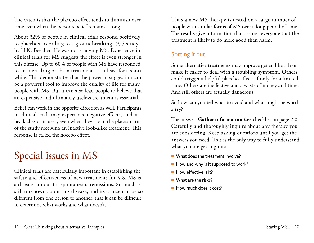The catch is that the placebo effect tends to diminish over time even when the person's belief remains strong.

About 32% of people in clinical trials respond positively to placebos according to a groundbreaking 1955 study by H.K. Beecher. He was not studying MS. Experience in clinical trials for MS suggests the effect is even stronger in this disease. Up to 60% of people with MS have responded to an inert drug or sham treatment — at least for a short while. This demonstrates that the power of suggestion can be a powerful tool to improve the quality of life for many people with MS. But it can also lead people to believe that an expensive and ultimately useless treatment is essential.

Belief can work in the opposite direction as well. Participants in clinical trials may experience negative effects, such as headaches or nausea, even when they are in the placebo arm of the study receiving an inactive look-alike treatment. This response is called the nocebo effect.

# Special issues in MS

Clinical trials are particularly important in establishing the safety and effectiveness of new treatments for MS. MS is a disease famous for spontaneous remissions. So much is still unknown about this disease, and its course can be so different from one person to another, that it can be difficult to determine what works and what doesn't.

Thus a new MS therapy is tested on a large number of people with similar forms of MS over a long period of time. The results give information that assures everyone that the treatment is likely to do more good than harm.

### Sorting it out

Some alternative treatments may improve general health or make it easier to deal with a troubling symptom. Others could trigger a helpful placebo effect, if only for a limited time. Others are ineffective and a waste of money and time. And still others are actually dangerous.

So how can you tell what to avoid and what might be worth a try?

The answer: **Gather information** (see checklist on page 22). Carefully and thoroughly inquire about any therapy you are considering. Keep asking questions until you get the answers you need. This is the only way to fully understand what you are getting into.

- $\blacksquare$  What does the treatment involve?
- $\blacksquare$  How and why is it supposed to work?
- $\blacksquare$  How effective is it?
- $\blacksquare$  What are the risks?
- **n** How much does it cost?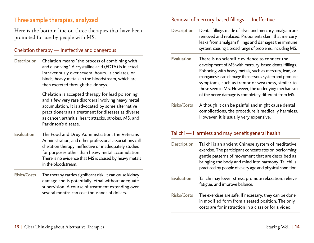### Three sample therapies, analyzed

Here is the bottom line on three therapies that have been promoted for use by people with MS:

### Chelation therapy — Ineffective and dangerous

Description Chelation means "the process of combining with and dissolving." A crystalline acid (EDTA) is injected intravenously over several hours. It chelates, or binds, heavy metals in the bloodstream, which are then excreted through the kidneys.

> Chelation is accepted therapy for lead poisoning and a few very rare disorders involving heavy metal accumulation. It is advocated by some alternative practitioners as a treatment for diseases as diverse as cancer, arthritis, heart attacks, strokes, MS, and Parkinson's disease.

- Evaluation The Food and Drug Administration, the Veterans Administration, and other professional associations call chelation therapy ineffective or inadequately studied for purposes other than heavy metal accumulation. There is no evidence that MS is caused by heavy metals in the bloodstream.
- Risks/Costs The therapy carries significant risk. It can cause kidney damage and is potentially lethal without adequate supervision. A course of treatment extending over several months can cost thousands of dollars.

#### Removal of mercury-based fillings — Ineffective

Description Dental fillings made of silver and mercury amalgam are removed and replaced. Proponents claim that mercury leaks from amalgam fillings and damages the immune system, causing a broad range of problems, including MS.

- Evaluation There is no scientific evidence to connect the development of MS with mercury-based dental fillings. Poisoning with heavy metals, such as mercury, lead, or manganese, can damage the nervous system and produce symptoms, such as tremor or weakness, similar to those seen in MS. However, the underlying mechanism of the nerve damage is completely different from MS.
- Risks/Costs Although it can be painful and might cause dental complications, the procedure is medically harmless. However, it is usually very expensive.

### Tai chi — Harmless and may benefit general health

| <b>Description</b> | Tai chi is an ancient Chinese system of meditative<br>exercise. The participant concentrates on performing<br>gentle patterns of movement that are described as<br>bringing the body and mind into harmony. Tai chi is<br>practiced by people of every age and physical condition. |
|--------------------|------------------------------------------------------------------------------------------------------------------------------------------------------------------------------------------------------------------------------------------------------------------------------------|
| <b>Evaluation</b>  | Tai chi may lower stress, promote relaxation, relieve<br>fatigue, and improve balance.                                                                                                                                                                                             |
| <b>Risks/Costs</b> | The exercises are safe. If necessary, they can be done<br>in modified form from a seated position. The only<br>costs are for instruction in a class or for a video.                                                                                                                |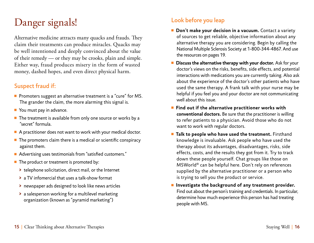# Danger signals!

Alternative medicine attracts many quacks and frauds. They claim their treatments can produce miracles. Quacks may be well intentioned and deeply convinced about the value of their remedy — or they may be crooks, plain and simple. Either way, fraud produces misery in the form of wasted money, dashed hopes, and even direct physical harm.

## Suspect fraud if:

- **Promoters suggest an alternative treatment is a "cure" for MS.** The grander the claim, the more alarming this signal is.
- $\blacksquare$  You must pay in advance.
- $\blacksquare$  The treatment is available from only one source or works by a "secret" formula.
- $\blacksquare$  A practitioner does not want to work with your medical doctor.
- $\blacksquare$  The promoters claim there is a medical or scientific conspiracy against them.
- Advertising uses testimonials from "satisfied customers."
- $\blacksquare$  The product or treatment is promoted by:
	- **>** telephone solicitation, direct mail, or the Internet
	- **>** a TV infomercial that uses a talk-show format
	- **>** newspaper ads designed to look like news articles
	- **>** a salesperson working for a multilevel marketing organization (known as "pyramid marketing")

## Look before you leap

- **n** Don't make your decision in a vacuum. Contact a variety of sources to get reliable, objective information about any alternative therapy you are considering. Begin by calling the National Multiple Sclerosis Society at 1-800-344-4867. And use the resources on pages 19.
- **n Discuss the alternative therapy with your doctor.** Ask for your doctor's views on the risks, benefits, side effects, and potential interactions with medications you are currently taking. Also ask about the experience of the doctor's other patients who have used the same therapy. A frank talk with your nurse may be helpful if you feel you and your doctor are not communicating well about this issue.
- Find out if the alternative practitioner works with **conventional doctors.** Be sure that the practitioner is willing to refer patients to a physician. Avoid those who do not want to work with regular doctors.
- **n** Talk to people who have used the treatment. Firsthand knowledge is invaluable. Ask people who have used the therapy about its advantages, disadvantages, risks, side effects, costs, and the results they got from it. Try to track down these people yourself. Chat groups like those on MSWorld® can be helpful here. Don't rely on references supplied by the alternative practitioner or a person who is trying to sell you the product or service.
- **n** Investigate the background of any treatment provider. Find out about the person's training and credentials. In particular, determine how much experience this person has had treating people with MS.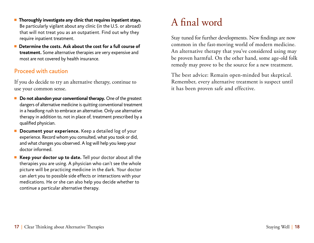- Thoroughly investigate any clinic that requires inpatient stays. Be particularly vigilant about any clinic (in the U.S. or abroad) that will not treat you as an outpatient. Find out why they require inpatient treatment.
- Determine the costs. Ask about the cost for a full course of **treatment.** Some alternative therapies are very expensive and most are not covered by health insurance.

### Proceed with caution

If you do decide to try an alternative therapy, continue to use your common sense.

- **n Do not abandon your conventional therapy.** One of the greatest dangers of alternative medicine is quitting conventional treatment in a headlong rush to embrace an alternative. Only use alternative therapy in addition to, not in place of, treatment prescribed by a qualified physician.
- **Document your experience.** Keep a detailed log of your experience. Record whom you consulted, what you took or did, and what changes you observed. A log will help you keep your doctor informed.
- Keep your doctor up to date. Tell your doctor about all the therapies you are using. A physician who can't see the whole picture will be practicing medicine in the dark. Your doctor can alert you to possible side effects or interactions with your medications. He or she can also help you decide whether to continue a particular alternative therapy.

# A final word

Stay tuned for further developments. New findings are now common in the fast-moving world of modern medicine. An alternative therapy that you've considered using may be proven harmful. On the other hand, some age-old folk remedy may prove to be the source for a new treatment.

The best advice: Remain open-minded but skeptical. Remember, every alternative treatment is suspect until it has been proven safe and effective.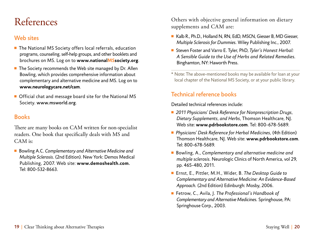## References

### Web sites

- $\blacksquare$  The National MS Society offers local referrals, education programs, counseling, self-help groups, and other booklets and brochures on MS. Log on to **www.nationalMSsociety.org**.
- $\blacksquare$  The Society recommends the Web site managed by Dr. Allen Bowling, which provides comprehensive information about complementary and alternative medicine and MS. Log on to **www.neurologycare.net/cam**.
- Official chat and message board site for the National MS Society. www.msworld.org.

## **Books**

There are many books on CAM written for non-specialist readers. One book that specifically deals with MS and CAM is:

■ Bowling A.C. Complementary and Alternative Medicine and *Multiple Sclerosis.* (2nd Edition). New York: Demos Medical Publishing, 2007. Web site: **www.demoshealth.com**. Tel: 800-532-8663.

Others with objective general information on dietary supplements and CAM are:

- Kalb R., Ph.D., Holland N, RN, EdD, MSCN, Giesser B, MD Giesser, *Multiple Sclerosis for Dummies.* Wiley Publishing Inc., 2007.
- Steven Foster and Varro E. Tyler, PhD, Tyler's *Honest Herbal: A Sensible Guide to the Use of Herbs and Related Remedies.* Binghamton, NY: Haworth Press.
- \* Note: The above-mentioned books may be available for loan at your local chapter of the National MS Society, or at your public library.

## Technical reference books

Detailed technical references include:

- <sup>n</sup> *2011 Physicians' Desk Reference for Nonprescription Drugs, Dietary Supplements, and Herbs,* Thomson Healthcare, NJ. Web site: **www.pdrbookstore.com**. Tel: 800-678-5689.
- <sup>n</sup> *Physicians' Desk Reference for Herbal Medicines,* (4th Edition) Thomson Healthcare, NJ. Web site: **www.pdrbookstore.com**. Tel: 800-678-5689.
- Bowling, A., *Complementary and alternative medicine and multiple sclerosis.* Neurologic Clinics of North America, vol 29, pp. 465-480, 2011.
- <sup>n</sup> Ernst, E., Pittler, M.H., Wider, B. *The Desktop Guide to Complementary and Alternative Medicine: An Evidence-Based Approach.* (2nd Edition) Edinburgh: Mosby, 2006.
- <sup>n</sup> Fetrow, C., Avila, J. *The Professional's Handbook of Complementary and Alternative Medicines.* Springhouse, PA: Springhouse Corp., 2003.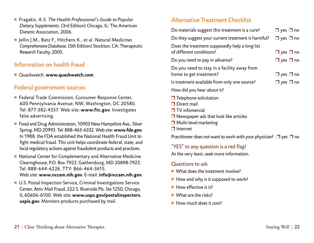- <sup>n</sup> Fragakis, A.S. *The Health Professional's Guide to Popular Dietary Supplements.* (3rd Edition) Chicago, IL: The American Dietetic Association, 2006.
- Jellin J.M., Batz F., Hitchens K., et al. *Natural Medicines ComprehensiveDatabase.*(5th Edition) Stockton, CA: Therapeutic Research Faculty, 2005.

### Information on health fraud

<sup>n</sup> Quackwatch. **www.quackwatch.com**.

### Federal government sources

- Federal Trade Commission, Consumer Response Center, 600 Pennsylvania Avenue, NW, Washington, DC 20580. Tel: 877-382-4357. Web site: **www.ftc.gov**. Investigates false advertising.
- Food and Drug Administration, 10903 New Hampshire Ave., Silver Spring, MD 20993. Tel: 888-463-6332. Web site: **www.fda.gov**. In 1988, the FDA established the National Health Fraud Unit to fight medical fraud. This unit helps coordinate federal, state, and local regulatory actions against fraudulent products and practices.
- National Center for Complementary and Alternative Medicine Clearinghouse, P.O. Box 7923, Gaithersburg, MD 20898-7923. Tel: 888-644-6226. TTY: 866-464-3615. Web site: **www.nccam.nih.gov**. E-mail: **info@nccam.nih.gov**.
- U.S. Postal Inspection Service, Criminal Investigations Service Center, Attn: Mail Fraud, 222 S. Riverside Plz, Ste 1250, Chicago, IL 60606-6100. Web site: **www.usps.gov/postalinspectors. uspis.gov**. Monitors products purchased by mail.

### Alternative Treatment Checklist

| Do materials suggest this treatment is a cure?                             | $\Box$ yes $\Box$ no |
|----------------------------------------------------------------------------|----------------------|
| Do they suggest your current treatment is harmful?                         | $\Box$ yes $\Box$ no |
| Does the treatment supposedly help a long list<br>of different conditions? | $\Box$ yes $\Box$ no |
| Do you need to pay in advance?                                             | $\Box$ yes $\Box$ no |
| Do you need to stay in a facility away from                                |                      |
| home to get treatment?                                                     | $\Box$ yes $\Box$ no |
| Is treatment available from only one source?                               | $\Box$ yes $\Box$ no |
| How did you hear about it?                                                 |                      |
|                                                                            |                      |

- $\Box$  Telephone solicitation
- $\Box$  Direct mail
- $\blacksquare$  TV infomercial
- $\Box$  Newspaper ads that look like articles
- $\Box$  Multi-level marketing
- $\Box$  Internet

Practitioner does not want to work with your physician?  $\Box$  yes  $\Box$  no

### "YES" to any question is a red flag!

At the very least, seek more information.

### Questions to ask

- $\blacksquare$  What does the treatment involve?
- $\blacksquare$  How and why is it supposed to work?
- $\blacksquare$  How effective is it?
- $\blacksquare$  What are the risks?
- **How much does it cost?**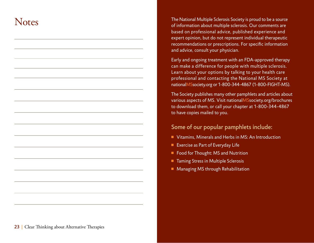## **Notes**

The National Multiple Sclerosis Society is proud to be a source of information about multiple sclerosis. Our comments are based on professional advice, published experience and expert opinion, but do not represent individual therapeutic recommendations or prescriptions. For specific information and advice, consult your physician.

Early and ongoing treatment with an FDA-approved therapy can make a difference for people with multiple sclerosis. Learn about your options by talking to your health care professional and contacting the National MS Society at nationalMSsociety.org or 1-800-344-4867 (1-800-FIGHT-MS).

The Society publishes many other pamphlets and articles about various aspects of MS. Visit nationalMSsociety.org/brochures to download them, or call your chapter at 1-800-344-4867 to have copies mailed to you.

### Some of our popular pamphlets include:

- Vitamins, Minerals and Herbs in MS: An Introduction
- Exercise as Part of Everyday Life
- Food for Thought: MS and Nutrition
- Taming Stress in Multiple Sclerosis
- Managing MS through Rehabilitation